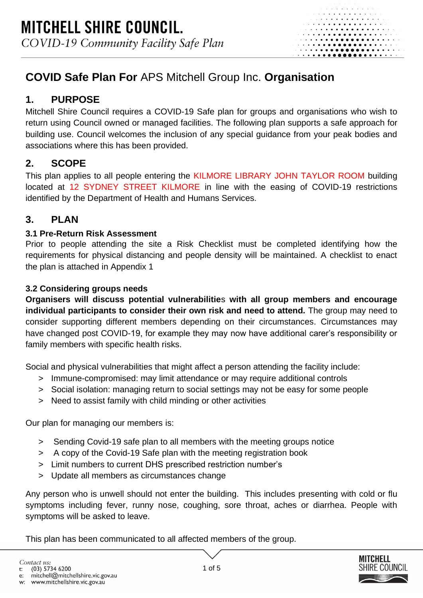# **COVID Safe Plan For** APS Mitchell Group Inc. **Organisation**

# **1. PURPOSE**

Mitchell Shire Council requires a COVID-19 Safe plan for groups and organisations who wish to return using Council owned or managed facilities. The following plan supports a safe approach for building use. Council welcomes the inclusion of any special guidance from your peak bodies and associations where this has been provided.

# **2. SCOPE**

This plan applies to all people entering the KILMORE LIBRARY JOHN TAYLOR ROOM building located at 12 SYDNEY STREET KILMORE in line with the easing of COVID-19 restrictions identified by the Department of Health and Humans Services.

# **3. PLAN**

## **3.1 Pre-Return Risk Assessment**

Prior to people attending the site a Risk Checklist must be completed identifying how the requirements for physical distancing and people density will be maintained. A checklist to enact the plan is attached in Appendix 1

## **3.2 Considering groups needs**

**Organisers will discuss potential vulnerabilitie**s **with all group members and encourage individual participants to consider their own risk and need to attend.** The group may need to consider supporting different members depending on their circumstances. Circumstances may have changed post COVID-19, for example they may now have additional carer's responsibility or family members with specific health risks.

Social and physical vulnerabilities that might affect a person attending the facility include:

- > Immune-compromised: may limit attendance or may require additional controls
- > Social isolation: managing return to social settings may not be easy for some people
- > Need to assist family with child minding or other activities

Our plan for managing our members is:

- > Sending Covid-19 safe plan to all members with the meeting groups notice
- > A copy of the Covid-19 Safe plan with the meeting registration book
- > Limit numbers to current DHS prescribed restriction number's
- > Update all members as circumstances change

Any person who is unwell should not enter the building. This includes presenting with cold or flu symptoms including fever, runny nose, coughing, sore throat, aches or diarrhea. People with symptoms will be asked to leave.

This plan has been communicated to all affected members of the group.



. . **. . . . .** . . . . .

Contact us: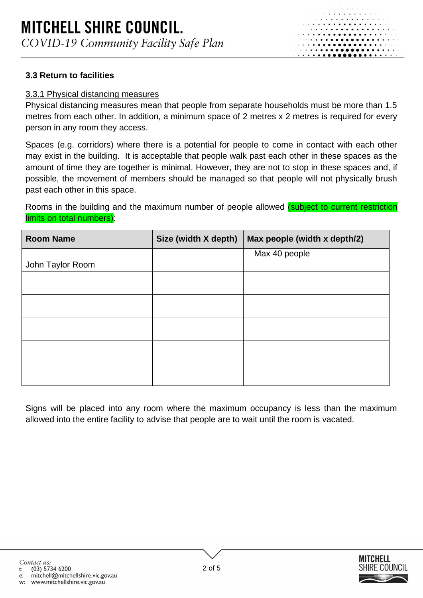# **MITCHELL SHIRE COUNCIL.** COVID-19 Community Facility Safe Plan

#### **3.3 Return to facilities**

#### 3.3.1 Physical distancing measures

Physical distancing measures mean that people from separate households must be more than 1.5 metres from each other. In addition, a minimum space of 2 metres x 2 metres is required for every person in any room they access.

Spaces (e.g. corridors) where there is a potential for people to come in contact with each other may exist in the building. It is acceptable that people walk past each other in these spaces as the amount of time they are together is minimal. However, they are not to stop in these spaces and, if possible, the movement of members should be managed so that people will not physically brush past each other in this space.

Rooms in the building and the maximum number of people allowed *(subject to current restriction* limits on total numbers):

| <b>Room Name</b> | Size (width X depth) | Max people (width x depth/2) |
|------------------|----------------------|------------------------------|
|                  |                      | Max 40 people                |
| John Taylor Room |                      |                              |
|                  |                      |                              |
|                  |                      |                              |
|                  |                      |                              |
|                  |                      |                              |
|                  |                      |                              |
|                  |                      |                              |
|                  |                      |                              |
|                  |                      |                              |
|                  |                      |                              |
|                  |                      |                              |

Signs will be placed into any room where the maximum occupancy is less than the maximum allowed into the entire facility to advise that people are to wait until the room is vacated.



. . . **. . . . .** . . . . .

Contact us:

(03) 5734 6200  $\mathbf{t}$ :

mitchell@mitchellshire.vic.gov.au e:

www.mitchellshire.vic.gov.au w: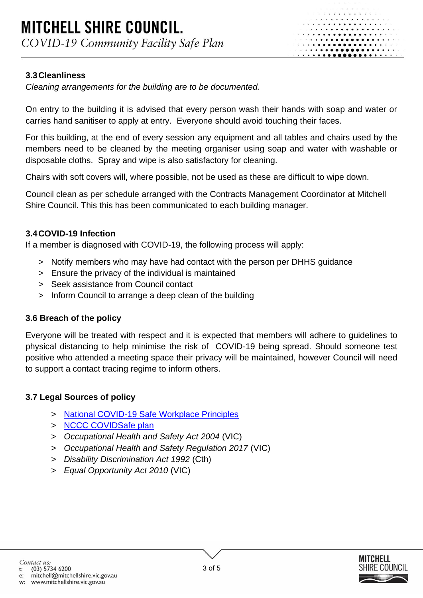

#### **3.3Cleanliness**

*Cleaning arrangements for the building are to be documented.* 

On entry to the building it is advised that every person wash their hands with soap and water or carries hand sanitiser to apply at entry. Everyone should avoid touching their faces.

For this building, at the end of every session any equipment and all tables and chairs used by the members need to be cleaned by the meeting organiser using soap and water with washable or disposable cloths. Spray and wipe is also satisfactory for cleaning.

Chairs with soft covers will, where possible, not be used as these are difficult to wipe down.

Council clean as per schedule arranged with the Contracts Management Coordinator at Mitchell Shire Council. This this has been communicated to each building manager.

#### **3.4COVID-19 Infection**

If a member is diagnosed with COVID-19, the following process will apply:

- > Notify members who may have had contact with the person per DHHS guidance
- > Ensure the privacy of the individual is maintained
- > Seek assistance from Council contact
- > Inform Council to arrange a deep clean of the building

#### **3.6 Breach of the policy**

Everyone will be treated with respect and it is expected that members will adhere to guidelines to physical distancing to help minimise the risk of COVID-19 being spread. Should someone test positive who attended a meeting space their privacy will be maintained, however Council will need to support a contact tracing regime to inform others.

#### **3.7 Legal Sources of policy**

- > [National COVID-19 Safe Workplace Principles](https://www.safeworkaustralia.gov.au/covid-19-information-workplaces/other-resources/national-covid-19-safe-workplace-principles)
- > [NCCC COVIDSafe plan](https://pmc.gov.au/sites/default/files/files/my-business-covidsafe-plan.pdf)
- > *Occupational Health and Safety Act 2004* (VIC)
- > *Occupational Health and Safety Regulation 2017* (VIC)
- > *Disability Discrimination Act 1992* (Cth)
- > *Equal Opportunity Act 2010* (VIC)



Contact us:

mitchell@mitchellshire.vic.gov.au e: www.mitchellshire.vic.gov.au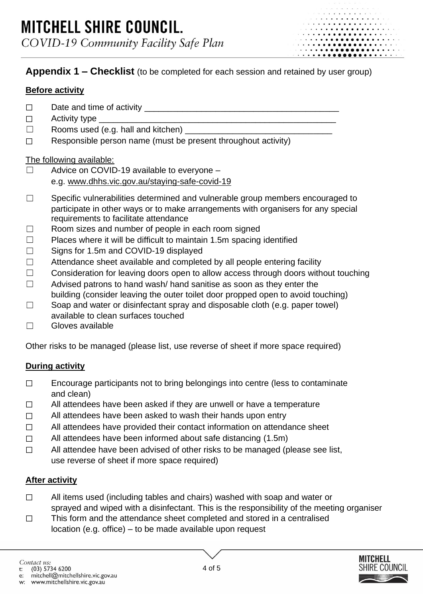## **Appendix 1 – Checklist** (to be completed for each session and retained by user group)

### **Before activity**

- $\Box$  Date and time of activity
- $\Box$  Activity type
- $\Box$  Rooms used (e.g. hall and kitchen)
- ☐ Responsible person name (must be present throughout activity)

#### The following available:

- ☐ Advice on COVID-19 available to everyone e.g. [www.dhhs.vic.gov.au/staying-safe-covid-19](https://www.dhhs.vic.gov.au/staying-safe-covid-19)
- □ Specific vulnerabilities determined and vulnerable group members encouraged to participate in other ways or to make arrangements with organisers for any special requirements to facilitate attendance
- $\Box$  Room sizes and number of people in each room signed
- □ Places where it will be difficult to maintain 1.5m spacing identified
- ☐ Signs for 1.5m and COVID-19 displayed
- $\Box$  Attendance sheet available and completed by all people entering facility
- □ Consideration for leaving doors open to allow access through doors without touching
- ☐ Advised patrons to hand wash/ hand sanitise as soon as they enter the building (consider leaving the outer toilet door propped open to avoid touching)
- $\Box$  Soap and water or disinfectant spray and disposable cloth (e.g. paper towel) available to clean surfaces touched
- ☐ Gloves available

Other risks to be managed (please list, use reverse of sheet if more space required)

## **During activity**

- ☐ Encourage participants not to bring belongings into centre (less to contaminate and clean)
- □ All attendees have been asked if they are unwell or have a temperature
- ☐ All attendees have been asked to wash their hands upon entry
- ☐ All attendees have provided their contact information on attendance sheet
- ☐ All attendees have been informed about safe distancing (1.5m)
- ☐ All attendee have been advised of other risks to be managed (please see list, use reverse of sheet if more space required)

## **After activity**

- ☐ All items used (including tables and chairs) washed with soap and water or sprayed and wiped with a disinfectant. This is the responsibility of the meeting organiser
- ☐ This form and the attendance sheet completed and stored in a centralised location (e.g. office) – to be made available upon request